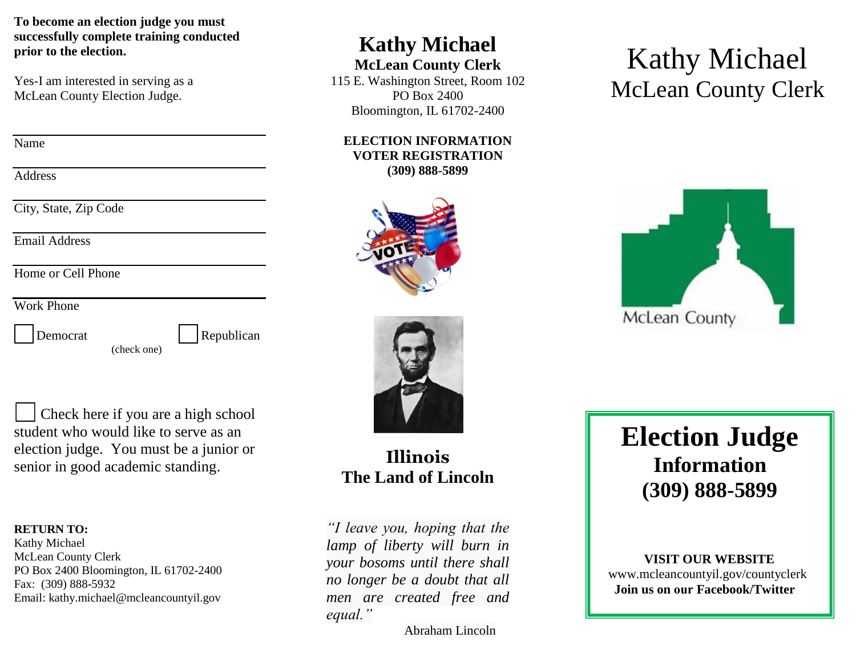**To become an election judge you must successfully complete training conducted prior to the election.** 

Yes-I am interested in serving as a McLean County Election Judge.

Name

**Address** 

City, State, Zip Code

Email Address

Home or Cell Phone

Work Phone

Democrat Republican

(check one)

 Check here if you are a high school student who would like to serve as an election judge. You must be a junior or senior in good academic standing.

#### **RETURN TO:**

Kathy Michael McLean County Clerk PO Box 2400 Bloomington, IL 61702-2400 Fax: (309) 888-5932 Email: kathy.michael@mcleancountyil.gov

# **Kathy Michael**

#### **McLean County Clerk**

115 E. Washington Street, Room 102 PO Box 2400 Bloomington, IL 61702-2400

#### **ELECTION INFORMATION VOTER REGISTRATION (309) 888-5899**









**Illinois The Land of Lincoln**

*"I leave you, hoping that the lamp of liberty will burn in your bosoms until there shall no longer be a doubt that all men are created free and equal."*

Abraham Lincoln

# **Election Judge Information (309) 888-5899**

#### **VISIT OUR WEBSITE**

www.mcleancountyil.gov/countyclerk **Join us on our Facebook/Twitter**